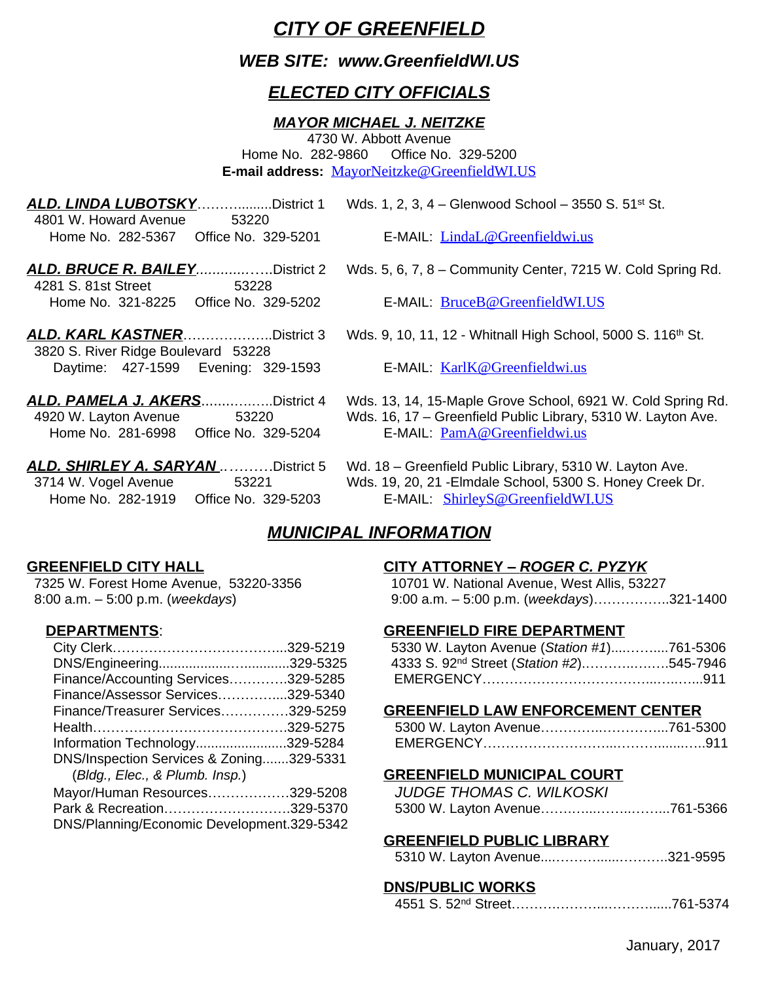# *CITY OF GREENFIELD*

# *WEB SITE: www.GreenfieldWI.US*

# *ELECTED CITY OFFICIALS*

## *MAYOR MICHAEL J. NEITZKE*

4730 W. Abbott Avenue Home No. 282-9860 Office No. 329-5200 **E-mail address:** [MayorNeitzke@GreenfieldWI.US](mailto:MayorNeitzke@GreenfieldWI.US)

| <b>ALD. LINDA LUBOTSKYDistrict 1</b> |       |  |
|--------------------------------------|-------|--|
| 4801 W. Howard Avenue                | 53220 |  |
|                                      |       |  |

 4281 S. 81st Street 53228 Home No. 321-8225 Office No. 329-5202 E-MAIL: [BruceB@GreenfieldWI.US](mailto:TomP@GreenfieldWI.US)

- 3820 S. River Ridge Boulevard 53228 Daytime: 427-1599 Evening: 329-1593 E-MAIL: [KarlK@Greenfieldwi.us](mailto:KarlK@Greenfieldwi.us)
- Home No. 281-6998 Office No. 329-5204 E-MAIL: [PamA@Greenfieldwi.us](mailto:PamA@Greenfieldwi.us)
- Home No. 282-1919 Office No. 329-5203 E-MAIL:[ShirleyS@GreenfieldWI.US](mailto:ShirleyS@GreenfieldWI.US)

*Wds. 1, 2, 3, 4 – Glenwood School – 3550 S. 51<sup>st</sup> St.* 

E-MAIL: [LindaL@Greenfieldwi.us](mailto:LindaL@Greenfieldwi.us)

- *ALD. BRUCE R. BAILEY.............*…..District 2 Wds. 5, 6, 7, 8 Community Center, 7215 W. Cold Spring Rd.
	-
- ALD. KARL KASTNER…………………District 3 Wds. 9, 10, 11, 12 Whitnall High School, 5000 S. 116<sup>th</sup> St.
	-
- *ALD. PAMELA J. AKERS*........….…..District 4 Wds. 13, 14, 15-Maple Grove School, 6921 W. Cold Spring Rd. 4920 W. Layton Avenue 53220 Wds. 16, 17 – Greenfield Public Library, 5310 W. Layton Ave.
- *ALD. SHIRLEY A. SARYAN ..………*District 5 Wd. 18 Greenfield Public Library, 5310 W. Layton Ave. 3714 W. Vogel Avenue 53221 Wds. 19, 20, 21 -Elmdale School, 5300 S. Honey Creek Dr.

# *MUNICIPAL INFORMATION*

7325 W. Forest Home Avenue, 53220-3356 10701 W. National Avenue, West Allis, 53227

|                                            | 5330 W. Layton Avenue (Station #1)           |
|--------------------------------------------|----------------------------------------------|
|                                            | 4333 S. 92 <sup>nd</sup> Street (Station #2) |
| Finance/Accounting Services329-5285        | EMERGENCY                                    |
| Finance/Assessor Services329-5340          |                                              |
| Finance/Treasurer Services329-5259         | <b>GREENFIELD LAW ENFORCEM</b>               |
|                                            | 5300 W. Layton Avenue                        |
| Information Technology329-5284             | EMERGENCY                                    |
| DNS/Inspection Services & Zoning329-5331   |                                              |
| (Bldg., Elec., & Plumb. Insp.)             | <b>GREENFIELD MUNICIPAL COUP</b>             |
| Mayor/Human Resources329-5208              | <b>JUDGE THOMAS C. WILKOSKI</b>              |
| Park & Recreation329-5370                  | 5300 W. Layton Avenue                        |
| DNS/Planning/Economic Development.329-5342 |                                              |
|                                            |                                              |

## **GREENFIELD CITY HALL CITY ATTORNEY –** *ROGER C. PYZYK*

8:00 a.m. – 5:00 p.m. (*weekdays*) 9:00 a.m. – 5:00 p.m. (*weekdays*)……………..321-1400

## **DEPARTMENTS**: **GREENFIELD FIRE DEPARTMENT**

|                                     | 5330 W. Layton Avenue (Station #1)761-5306           |  |
|-------------------------------------|------------------------------------------------------|--|
|                                     | 4333 S. 92 <sup>nd</sup> Street (Station #2)545-7946 |  |
| Finance/Accounting Services329-5285 |                                                      |  |

### **GREENFIELD LAW ENFORCEMENT CENTER**

| Information Technology329-5284 | <b>FMFRGFNCY</b> |  |
|--------------------------------|------------------|--|

# (*Bldg., Elec., & Plumb. Insp.*) **GREENFIELD MUNICIPAL COURT**

| Mayor/Human Resources329-5208 | JUDGE THOMAS C. WILKOSKI |  |
|-------------------------------|--------------------------|--|
| Park & Recreation329-5370     |                          |  |

# **GREENFIELD PUBLIC LIBRARY**

# **DNS/PUBLIC WORKS**

|--|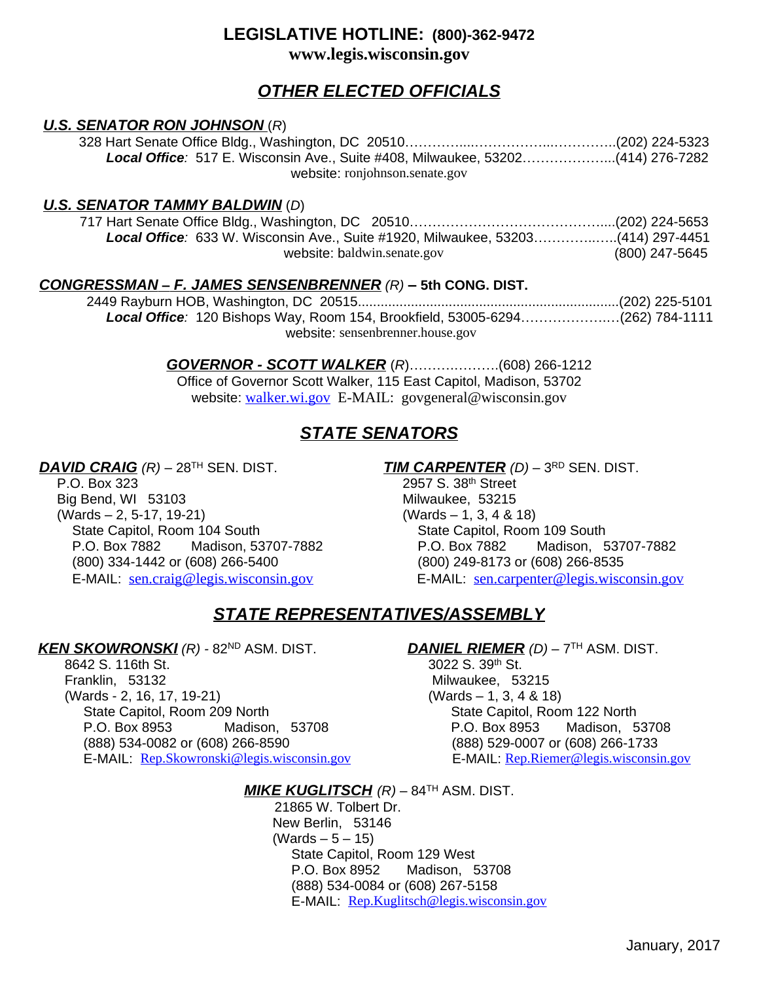## **LEGISLATIVE HOTLINE: (800)-362-9472 www.legis.wisconsin.gov**

# *OTHER ELECTED OFFICIALS*

### *U.S. SENATOR RON JOHNSON* (*R*)

 328 Hart Senate Office Bldg., Washington, DC 20510…………....……………...…………..(202) 224-5323  *Local Office:*517 E. Wisconsin Ave., Suite #408, Milwaukee, 53202………………...(414) 276-7282 website: ronjohnson.senate.gov

### *U.S. SENATOR TAMMY BALDWIN* (*D*)

 717 Hart Senate Office Bldg., Washington, DC 20510……………………………………....(202) 224-5653  *Local Office:* 633 W. Wisconsin Ave., Suite #1920, Milwaukee, 53203…………..…..(414) 297-4451 website: baldwin.senate.gov (800) 247-5645

### *CONGRESSMAN* **–** *F. JAMES SENSENBRENNER (R) –* **5th CONG. DIST.**

 2449 Rayburn HOB, Washington, DC 20515.....................................................................(202) 225-5101 *Local Office:* 120 Bishops Way, Room 154, Brookfield, 53005-6294……………….…(262) 784-1111 website: sensenbrenner.house.gov

> *GOVERNOR - SCOTT WALKER* (*R*)……….……….(608) 266-1212 Office of Governor Scott Walker, 115 East Capitol, Madison, 53702 website: [walker.wi.gov](mailto:govgeneral@wisconsin.gov) E-MAIL: govgeneral@wisconsin.gov

# *STATE SENATORS*

Big Bend, WI 53103 Milwaukee, 53215 (Wards – 2, 5-17, 19-21) (Wards – 1, 3, 4 & 18) State Capitol, Room 104 South State Capitol, Room 109 South (800) 334-1442 or (608) 266-5400 (800) 249-8173 or (608) 266-8535

*DAVID CRAIG (R)* – 28<sup>TH</sup> SEN. DIST. *TIM CARPENTER (D)* – 3<sup>RD</sup> SEN. DIST. <br>2957 S. 38<sup>th</sup> Street 2957 S. 38th Street P.O. Box 7882 Madison, 53707-7882 P.O. Box 7882 Madison, 53707-7882 E-MAIL: [sen.craig@legis.wisconsin.gov](mailto:sen.craig@legis.wisconsin.gov) E-MAIL: [sen.carpenter@legis.wisconsin.gov](mailto:sen.carpenter@legis.wisconsin.gov)

# *STATE REPRESENTATIVES/ASSEMBLY*

### *KEN SKOWRONSKI (R) -* 82ND ASM. DIST. *DANIEL RIEMER (D)* – 7TH ASM. DIST.

8642 S. 116th St. 3022 S. 39th St. 3022 S. 39th St. 3022 S. 39th St. (Wards - 2, 16, 17, 19-21) (Wards – 1, 3, 4 & 18) State Capitol, Room 209 North State Capitol, Room 122 North P.O. Box 8953 Madison, 53708 P.O. Box 8953 Madison, 53708 (888) 534-0082 or (608) 266-8590 (888) 529-0007 or (608) 266-1733 E-MAIL: <u>[Rep.Skowronski@legis.wisconsin.gov](mailto:rep.stone@legis.wisconsin.gov)</u> E-MAIL: <u>[Rep.Riemer@legis.wisconsin.gov](mailto:Rep.Riemer@legis.wisconsin.gov)</u>

Milwaukee, 53215

### *MIKE KUGLITSCH (R)* – 84TH ASM. DIST.

 21865 W. Tolbert Dr. New Berlin, 53146  $(Wards - 5 - 15)$  State Capitol, Room 129 West P.O. Box 8952 Madison, 53708 (888) 534-0084 or (608) 267-5158 E-MAIL: [Rep.Kuglitsch@legis.wisconsin.gov](mailto:rep.kuglitsch@legis.wisconsin.gov)